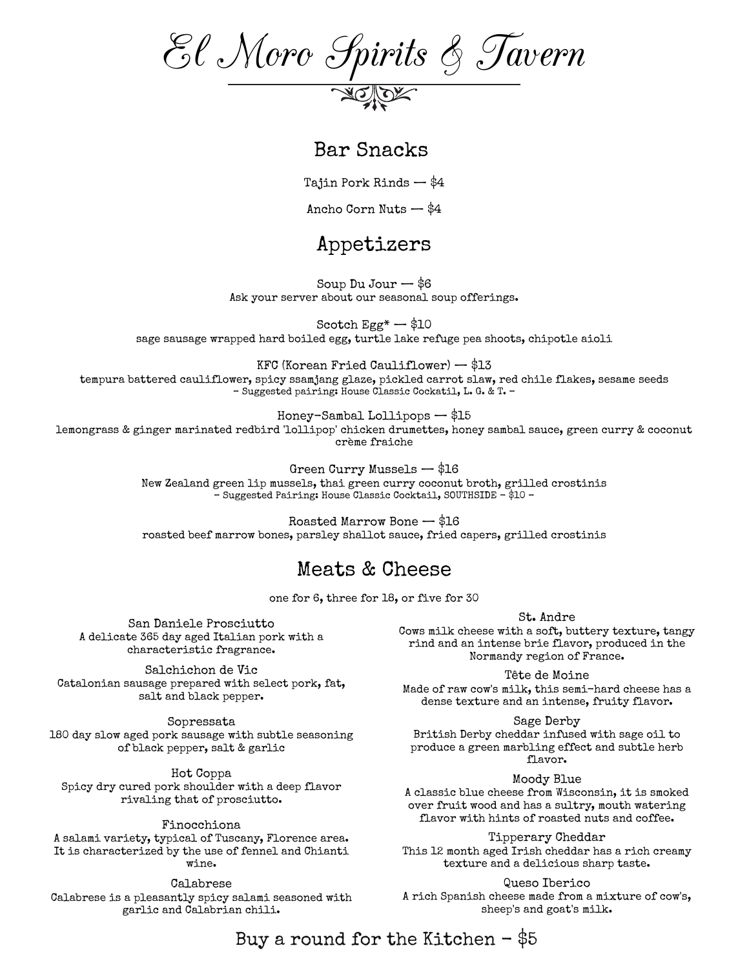El Moro Spirits & Tavern

#### Bar Snacks

Tajin Pork Rinds — \$4

Ancho Corn Nuts — \$4

### Appetizers

Soup  $Du$  Jour  $-$  \$6 Ask your server about our seasonal soup offerings.

Scotch  $Egg^*$   $-$  \$10 sage sausage wrapped hard boiled egg, turtle lake refuge pea shoots, chipotle aioli

KFC (Korean Fried Cauliflower) — \$13 tempura battered cauliflower, spicy ssamjang glaze, pickled carrot slaw, red chile flakes, sesame seeds – Suggested pairing: House Classic Cockatil, L. G. & T. –

Honey-Sambal Lollipops — \$15 lemongrass & ginger marinated redbird 'lollipop' chicken drumettes, honey sambal sauce, green curry & coconut crème fraiche

Green Curry Mussels — \$16

New Zealand green lip mussels, thai green curry coconut broth, grilled crostinis – Suggested Pairing: House Classic Cocktail, SOUTHSIDE - \$10 –

Roasted Marrow Bone — \$16 roasted beef marrow bones, parsley shallot sauce, fried capers, grilled crostinis

## Meats & Cheese

one for 6, three for 18, or five for 30

San Daniele Prosciutto A delicate 365 day aged Italian pork with a characteristic fragrance.

Salchichon de Vic Catalonian sausage prepared with select pork, fat, salt and black pepper.

Sopressata 180 day slow aged pork sausage with subtle seasoning of black pepper, salt & garlic

Hot Coppa Spicy dry cured pork shoulder with a deep flavor rivaling that of prosciutto.

A salami variety, typical of Tuscany, Florence area. It is characterized by the use of fennel and Chianti wine.

Calabrese Calabrese is a pleasantly spicy salami seasoned with garlic and Calabrian chili.

St. Andre

Cows milk cheese with a soft, buttery texture, tangy rind and an intense brie flavor, produced in the Normandy region of France.

Tête de Moine

Made of raw cow's milk, this semi-hard cheese has a dense texture and an intense, fruity flavor.

Sage Derby British Derby cheddar infused with sage oil to produce a green marbling effect and subtle herb flavor.

Moody Blue

A classic blue cheese from Wisconsin, it is smoked over fruit wood and has a sultry, mouth watering flavor with hints of roasted nuts and coffee. Finocchiona

> Tipperary Cheddar This 12 month aged Irish cheddar has a rich creamy texture and a delicious sharp taste.

> > Queso Iberico

A rich Spanish cheese made from a mixture of cow's, sheep's and goat's milk.

Buy a round for the Kitchen  $-$  \$5